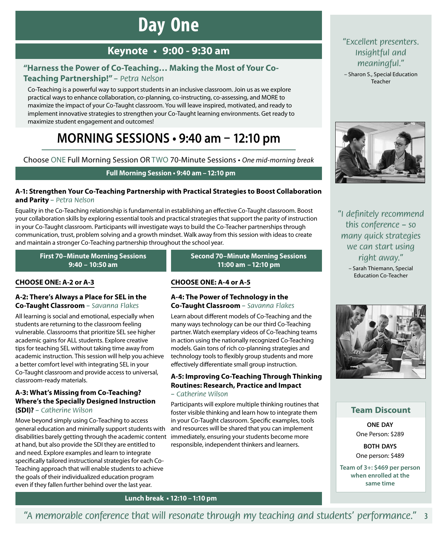# **Day One**

## **Keynote • 9:00 ‑ 9:30 am**

### **"Harness the Power of Co-Teaching… Making the Most of Your Co-Teaching Partnership!"** *– Petra Nelson*

Co-Teaching is a powerful way to support students in an inclusive classroom. Join us as we explore practical ways to enhance collaboration, co-planning, co-instructing, co-assessing, and MORE to maximize the impact of your Co-Taught classroom. You will leave inspired, motivated, and ready to implement innovative strategies to strengthen your Co-Taught learning environments. Get ready to maximize student engagement and outcomes!

# **MORNING SESSIONS • 9:40 am – 12:10 pm**

Choose ONE Full Morning Session OR TWO 70-Minute Sessions • *One mid-morning break*

### **Full Morning Session • 9:40 am –12:10 pm**

### **A‑1: Strengthen Your Co-Teaching Partnership with Practical Strategies to Boost Collaboration and Parity** *– Petra Nelson*

Equality in the Co-Teaching relationship is fundamental in establishing an effective Co-Taught classroom. Boost your collaboration skills by exploring essential tools and practical strategies that support the parity of instruction in your Co-Taught classroom. Participants will investigate ways to build the Co-Teacher partnerships through communication, trust, problem solving and a growth mindset. Walk away from this session with ideas to create and maintain a stronger Co-Teaching partnership throughout the school year.

**First 70–Minute Morning Sessions 9:40 – 10:50 am** 

### **CHOOSE ONE: A‑2 or A‑3**

### **A‑2: There's Always a Place for SEL in the Co-Taught Classroom** *– Savanna Flakes*

All learning is social and emotional, especially when students are returning to the classroom feeling vulnerable. Classrooms that prioritize SEL see higher academic gains for ALL students. Explore creative tips for teaching SEL without taking time away from academic instruction. This session will help you achieve a better comfort level with integrating SEL in your Co-Taught classroom and provide access to universal, classroom-ready materials.

### **A‑3: What's Missing from Co-Teaching? Where's the Specially Designed Instruction (SDI)?** *– Catherine Wilson*

Move beyond simply using Co-Teaching to access general education and minimally support students with disabilities barely getting through the academic content at hand, but also provide the SDI they are entitled to and need. Explore examples and learn to integrate specifically tailored instructional strategies for each Co-Teaching approach that will enable students to achieve the goals of their individualized education program even if they fallen further behind over the last year.

**Second 70–Minute Morning Sessions 11:00 am –12:10 pm**

### **CHOOSE ONE: A‑4 or A‑5**

### **A‑4: The Power of Technology in the Co-Taught Classroom** *– Savanna Flakes*

Learn about different models of Co-Teaching and the many ways technology can be our third Co-Teaching partner. Watch exemplary videos of Co-Teaching teams in action using the nationally recognized Co-Teaching models. Gain tons of rich co-planning strategies and technology tools to flexibly group students and more effectively differentiate small group instruction.

### **A‑5: Improving Co-Teaching Through Thinking Routines: Research, Practice and Impact**

### *– Catherine Wilson*

Participants will explore multiple thinking routines that foster visible thinking and learn how to integrate them in your Co-Taught classroom. Specific examples, tools and resources will be shared that you can implement immediately, ensuring your students become more responsible, independent thinkers and learners.

### *"Excellent presenters. Insightful and meaningful."*

– Sharon S., Special Education Teacher



*"I definitely recommend this conference – so many quick strategies we can start using right away."*

– Sarah Thiemann, Special Education Co-Teacher



### **Team Discount**

**ONE DAY** One Person: \$289

**BOTH DAYS** One person: \$489

**Team of 3+: \$469 per person when enrolled at the same time**

### **Lunch break • 12:10 –1:10 pm**

### **3** *"A memorable conference that will resonate through my teaching and students' performance."*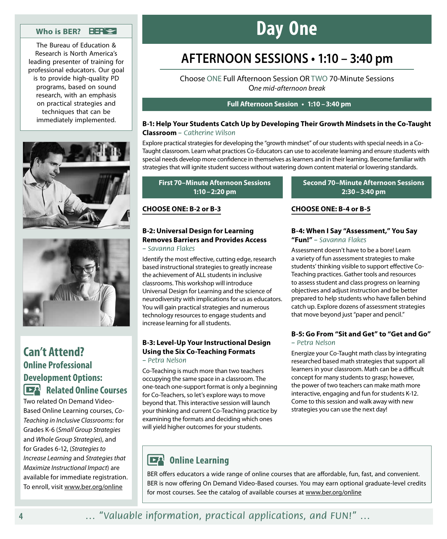### **Who is BER?**

The Bureau of Education & Research is North America's leading presenter of training for professional educators. Our goal is to provide high-quality PD programs, based on sound research, with an emphasis on practical strategies and techniques that can be immediately implemented.





## **Can't Attend? Online Professional Development Options: Related Online Courses**

Two related On Demand Video-Based Online Learning courses, *Co-Teaching in Inclusive Classrooms*: for Grades K-6 (*Small Group Strategies*  and *Whole Group Strategies*), and for Grades 6-12, (*Strategies to Increase Learning* and *Strategies that Maximize Instructional Impact*) are available for immediate registration. To enroll, visit www.ber.org/online

# **Day One**

# **AFTERNOON SESSIONS • 1:10 – 3:40 pm**

Choose ONE Full Afternoon Session OR TWO 70-Minute Sessions O*ne mid-afternoon break*

#### **Full Afternoon Session • 1:10 –3:40 pm**

### **B‑1: Help Your Students Catch Up by Developing Their Growth Mindsets in the Co-Taught Classroom** *– Catherine Wilson*

Explore practical strategies for developing the "growth mindset" of our students with special needs in a Co-Taught classroom. Learn what practices Co-Educators can use to accelerate learning and ensure students with special needs develop more confidence in themselves as learners and in their learning. Become familiar with strategies that will ignite student success without watering down content material or lowering standards.

### **First 70–Minute Afternoon Sessions 1:10–2:20 pm**

### **CHOOSE ONE: B‑2 or B‑3**

#### **B‑2: Universal Design for Learning Removes Barriers and Provides Access**  *– Savanna Flakes*

Identify the most effective, cutting edge, research based instructional strategies to greatly increase the achievement of ALL students in inclusive classrooms. This workshop will introduce Universal Design for Learning and the science of neurodiversity with implications for us as educators. You will gain practical strategies and numerous technology resources to engage students and increase learning for all students.

#### **B‑3: Level-Up Your Instructional Design Using the Six Co-Teaching Formats**  *– Petra Nelson*

Co-Teaching is much more than two teachers occupying the same space in a classroom. The one-teach one-support format is only a beginning for Co-Teachers, so let's explore ways to move beyond that. This interactive session will launch your thinking and current Co-Teaching practice by examining the formats and deciding which ones will yield higher outcomes for your students.

#### **Second 70–Minute Afternoon Sessions 2:30–3:40 pm**

### **CHOOSE ONE: B‑4 or B‑5**

#### **B‑4: When I Say "Assessment," You Say "Fun!"** *– Savanna Flakes*

Assessment doesn't have to be a bore! Learn a variety of fun assessment strategies to make students' thinking visible to support effective Co-Teaching practices. Gather tools and resources to assess student and class progress on learning objectives and adjust instruction and be better prepared to help students who have fallen behind catch up. Explore dozens of assessment strategies that move beyond just "paper and pencil."

### **B‑5: Go From "Sit and Get" to "Get and Go"**  *– Petra Nelson*

Energize your Co-Taught math class by integrating researched based math strategies that support all learners in your classroom. Math can be a difficult concept for many students to grasp; however, the power of two teachers can make math more interactive, engaging and fun for students K-12. Come to this session and walk away with new strategies you can use the next day!

### **DEA** Online Learning

BER offers educators a wide range of online courses that are affordable, fun, fast, and convenient. BER is now offering On Demand Video-Based courses. You may earn optional graduate-level credits for most courses. See the catalog of available courses at www.ber.org/online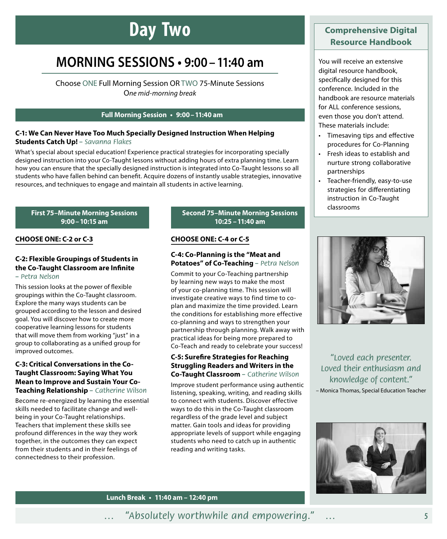# **Day Two**

# **MORNING SESSIONS • 9:00–11:40 am**

Choose ONE Full Morning Session OR TWO 75-Minute Sessions O*ne mid-morning break*

### **Full Morning Session • 9:00–11:40 am**

### **C‑1: We Can Never Have Too Much Specially Designed Instruction When Helping Students Catch Up!** *– Savanna Flakes*

What's special about special education! Experience practical strategies for incorporating specially designed instruction into your Co-Taught lessons without adding hours of extra planning time. Learn how you can ensure that the specially designed instruction is integrated into Co-Taught lessons so all students who have fallen behind can benefit. Acquire dozens of instantly usable strategies, innovative resources, and techniques to engage and maintain all students in active learning.

### **First 75–Minute Morning Sessions 9:00–10:15 am**

### **CHOOSE ONE: C‑2 or C‑3**

### **C‑2: Flexible Groupings of Students in the Co-Taught Classroom are Infinite**  *– Petra Nelson*

This session looks at the power of flexible groupings within the Co-Taught classroom. Explore the many ways students can be grouped according to the lesson and desired goal. You will discover how to create more cooperative learning lessons for students that will move them from working "just" in a group to collaborating as a unified group for improved outcomes.

### **C‑3: Critical Conversations in the Co-Taught Classroom: Saying What You Mean to Improve and Sustain Your Co-Teaching Relationship** *– Catherine Wilson*

Become re-energized by learning the essential skills needed to facilitate change and wellbeing in your Co-Taught relationships. Teachers that implement these skills see profound differences in the way they work together, in the outcomes they can expect from their students and in their feelings of connectedness to their profession.

### **Second 75–Minute Morning Sessions 10:25 –11:40 am**

#### **CHOOSE ONE: C‑4 or C‑5**

### **C‑4: Co-Planning is the "Meat and Potatoes" of Co-Teaching** *– Petra Nelson*

Commit to your Co-Teaching partnership by learning new ways to make the most of your co-planning time. This session will investigate creative ways to find time to coplan and maximize the time provided. Learn the conditions for establishing more effective co-planning and ways to strengthen your partnership through planning. Walk away with practical ideas for being more prepared to Co-Teach and ready to celebrate your success!

### **C‑5: Surefire Strategies for Reaching Struggling Readers and Writers in the Co-Taught Classroom** *– Catherine Wilson*

Improve student performance using authentic listening, speaking, writing, and reading skills to connect with students. Discover effective ways to do this in the Co-Taught classroom regardless of the grade level and subject matter. Gain tools and ideas for providing appropriate levels of support while engaging students who need to catch up in authentic reading and writing tasks.

### **Comprehensive Digital Resource Handbook**

You will receive an extensive digital resource handbook, specifically designed for this conference. Included in the handbook are resource materials for ALL conference sessions, even those you don't attend. These materials include:

- Timesaving tips and effective procedures for Co-Planning
- Fresh ideas to establish and nurture strong collaborative partnerships
- Teacher-friendly, easy-to-use strategies for differentiating instruction in Co-Taught classrooms



*"Loved each presenter. Loved their enthusiasm and knowledge of content."* – Monica Thomas, Special Education Teacher



**Lunch Break • 11:40 am – 12:40 pm**

### *… "Absolutely worthwhile and empowering." …*